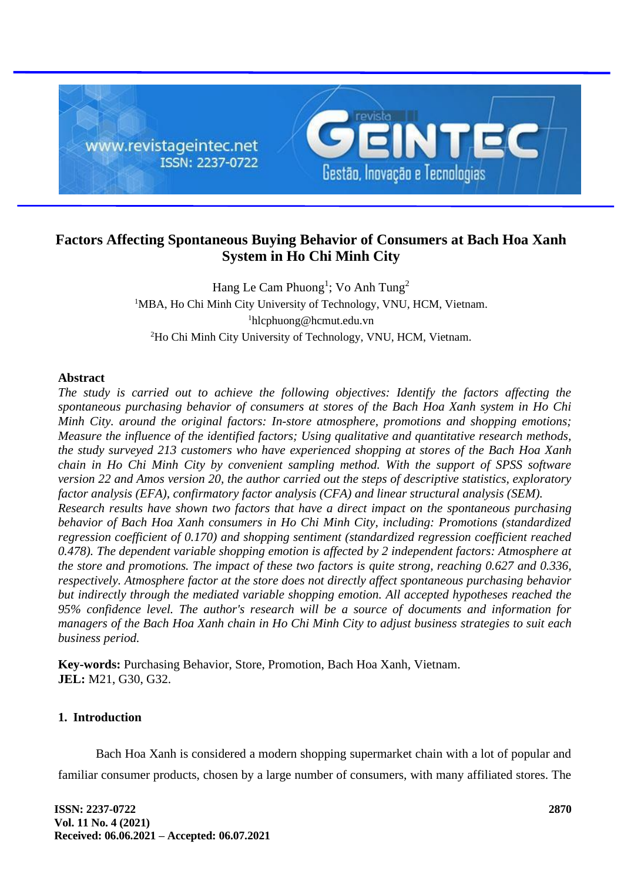

# **Factors Affecting Spontaneous Buying Behavior of Consumers at Bach Hoa Xanh System in Ho Chi Minh City**

Hang Le Cam Phuong<sup>1</sup>; Vo Anh Tung<sup>2</sup> <sup>1</sup>MBA, Ho Chi Minh City University of Technology, VNU, HCM, Vietnam. <sup>1</sup>hlcphuong@hcmut.edu.vn <sup>2</sup>Ho Chi Minh City University of Technology, VNU, HCM, Vietnam.

# **Abstract**

*The study is carried out to achieve the following objectives: Identify the factors affecting the spontaneous purchasing behavior of consumers at stores of the Bach Hoa Xanh system in Ho Chi Minh City. around the original factors: In-store atmosphere, promotions and shopping emotions; Measure the influence of the identified factors; Using qualitative and quantitative research methods, the study surveyed 213 customers who have experienced shopping at stores of the Bach Hoa Xanh chain in Ho Chi Minh City by convenient sampling method. With the support of SPSS software version 22 and Amos version 20, the author carried out the steps of descriptive statistics, exploratory factor analysis (EFA), confirmatory factor analysis (CFA) and linear structural analysis (SEM). Research results have shown two factors that have a direct impact on the spontaneous purchasing behavior of Bach Hoa Xanh consumers in Ho Chi Minh City, including: Promotions (standardized regression coefficient of 0.170) and shopping sentiment (standardized regression coefficient reached 0.478). The dependent variable shopping emotion is affected by 2 independent factors: Atmosphere at the store and promotions. The impact of these two factors is quite strong, reaching 0.627 and 0.336, respectively. Atmosphere factor at the store does not directly affect spontaneous purchasing behavior but indirectly through the mediated variable shopping emotion. All accepted hypotheses reached the 95% confidence level. The author's research will be a source of documents and information for managers of the Bach Hoa Xanh chain in Ho Chi Minh City to adjust business strategies to suit each business period.*

**Key-words:** Purchasing Behavior, Store, Promotion, Bach Hoa Xanh, Vietnam. **JEL:** M21, G30, G32.

# **1. Introduction**

Bach Hoa Xanh is considered a modern shopping supermarket chain with a lot of popular and familiar consumer products, chosen by a large number of consumers, with many affiliated stores. The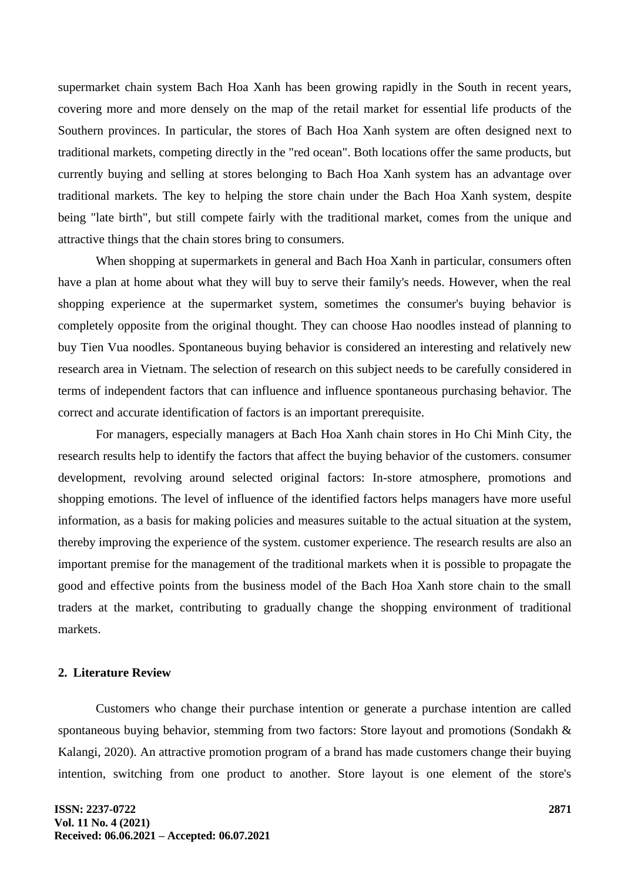supermarket chain system Bach Hoa Xanh has been growing rapidly in the South in recent years, covering more and more densely on the map of the retail market for essential life products of the Southern provinces. In particular, the stores of Bach Hoa Xanh system are often designed next to traditional markets, competing directly in the "red ocean". Both locations offer the same products, but currently buying and selling at stores belonging to Bach Hoa Xanh system has an advantage over traditional markets. The key to helping the store chain under the Bach Hoa Xanh system, despite being "late birth", but still compete fairly with the traditional market, comes from the unique and attractive things that the chain stores bring to consumers.

When shopping at supermarkets in general and Bach Hoa Xanh in particular, consumers often have a plan at home about what they will buy to serve their family's needs. However, when the real shopping experience at the supermarket system, sometimes the consumer's buying behavior is completely opposite from the original thought. They can choose Hao noodles instead of planning to buy Tien Vua noodles. Spontaneous buying behavior is considered an interesting and relatively new research area in Vietnam. The selection of research on this subject needs to be carefully considered in terms of independent factors that can influence and influence spontaneous purchasing behavior. The correct and accurate identification of factors is an important prerequisite.

For managers, especially managers at Bach Hoa Xanh chain stores in Ho Chi Minh City, the research results help to identify the factors that affect the buying behavior of the customers. consumer development, revolving around selected original factors: In-store atmosphere, promotions and shopping emotions. The level of influence of the identified factors helps managers have more useful information, as a basis for making policies and measures suitable to the actual situation at the system, thereby improving the experience of the system. customer experience. The research results are also an important premise for the management of the traditional markets when it is possible to propagate the good and effective points from the business model of the Bach Hoa Xanh store chain to the small traders at the market, contributing to gradually change the shopping environment of traditional markets.

### **2. Literature Review**

Customers who change their purchase intention or generate a purchase intention are called spontaneous buying behavior, stemming from two factors: Store layout and promotions (Sondakh & Kalangi, 2020). An attractive promotion program of a brand has made customers change their buying intention, switching from one product to another. Store layout is one element of the store's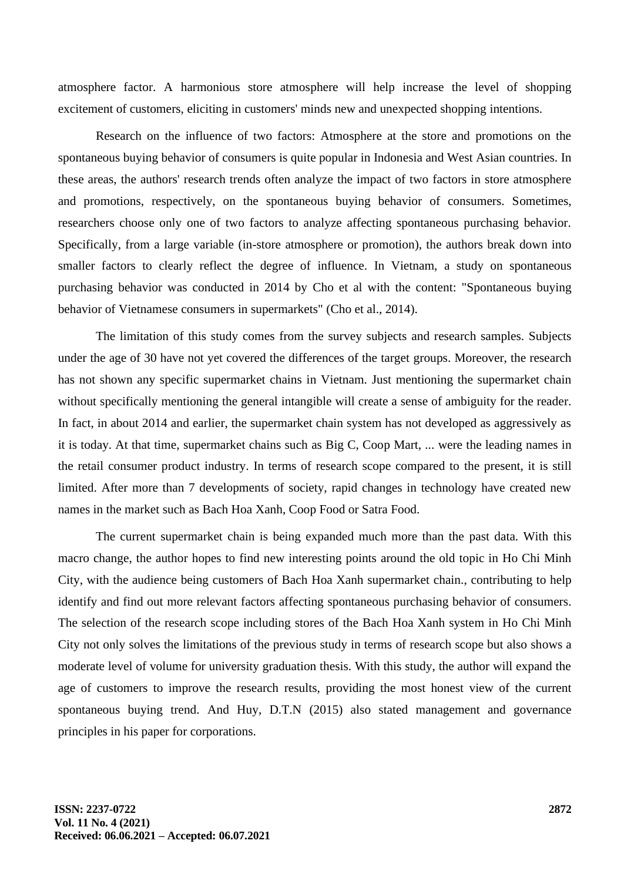atmosphere factor. A harmonious store atmosphere will help increase the level of shopping excitement of customers, eliciting in customers' minds new and unexpected shopping intentions.

Research on the influence of two factors: Atmosphere at the store and promotions on the spontaneous buying behavior of consumers is quite popular in Indonesia and West Asian countries. In these areas, the authors' research trends often analyze the impact of two factors in store atmosphere and promotions, respectively, on the spontaneous buying behavior of consumers. Sometimes, researchers choose only one of two factors to analyze affecting spontaneous purchasing behavior. Specifically, from a large variable (in-store atmosphere or promotion), the authors break down into smaller factors to clearly reflect the degree of influence. In Vietnam, a study on spontaneous purchasing behavior was conducted in 2014 by Cho et al with the content: "Spontaneous buying behavior of Vietnamese consumers in supermarkets" (Cho et al., 2014).

The limitation of this study comes from the survey subjects and research samples. Subjects under the age of 30 have not yet covered the differences of the target groups. Moreover, the research has not shown any specific supermarket chains in Vietnam. Just mentioning the supermarket chain without specifically mentioning the general intangible will create a sense of ambiguity for the reader. In fact, in about 2014 and earlier, the supermarket chain system has not developed as aggressively as it is today. At that time, supermarket chains such as Big C, Coop Mart, ... were the leading names in the retail consumer product industry. In terms of research scope compared to the present, it is still limited. After more than 7 developments of society, rapid changes in technology have created new names in the market such as Bach Hoa Xanh, Coop Food or Satra Food.

The current supermarket chain is being expanded much more than the past data. With this macro change, the author hopes to find new interesting points around the old topic in Ho Chi Minh City, with the audience being customers of Bach Hoa Xanh supermarket chain., contributing to help identify and find out more relevant factors affecting spontaneous purchasing behavior of consumers. The selection of the research scope including stores of the Bach Hoa Xanh system in Ho Chi Minh City not only solves the limitations of the previous study in terms of research scope but also shows a moderate level of volume for university graduation thesis. With this study, the author will expand the age of customers to improve the research results, providing the most honest view of the current spontaneous buying trend. And Huy, D.T.N (2015) also stated management and governance principles in his paper for corporations.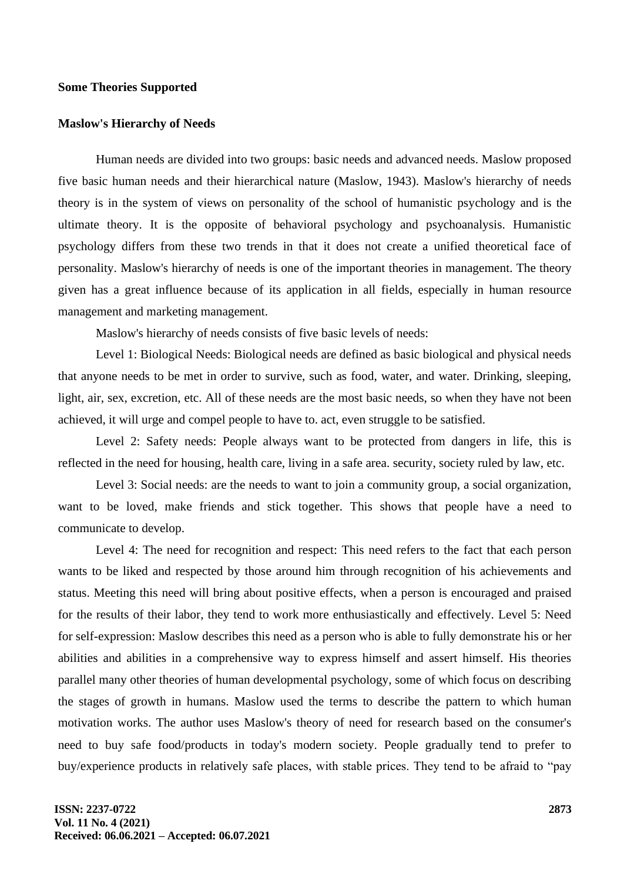### **Some Theories Supported**

#### **Maslow's Hierarchy of Needs**

Human needs are divided into two groups: basic needs and advanced needs. Maslow proposed five basic human needs and their hierarchical nature (Maslow, 1943). Maslow's hierarchy of needs theory is in the system of views on personality of the school of humanistic psychology and is the ultimate theory. It is the opposite of behavioral psychology and psychoanalysis. Humanistic psychology differs from these two trends in that it does not create a unified theoretical face of personality. Maslow's hierarchy of needs is one of the important theories in management. The theory given has a great influence because of its application in all fields, especially in human resource management and marketing management.

Maslow's hierarchy of needs consists of five basic levels of needs:

Level 1: Biological Needs: Biological needs are defined as basic biological and physical needs that anyone needs to be met in order to survive, such as food, water, and water. Drinking, sleeping, light, air, sex, excretion, etc. All of these needs are the most basic needs, so when they have not been achieved, it will urge and compel people to have to. act, even struggle to be satisfied.

Level 2: Safety needs: People always want to be protected from dangers in life, this is reflected in the need for housing, health care, living in a safe area. security, society ruled by law, etc.

Level 3: Social needs: are the needs to want to join a community group, a social organization, want to be loved, make friends and stick together. This shows that people have a need to communicate to develop.

Level 4: The need for recognition and respect: This need refers to the fact that each person wants to be liked and respected by those around him through recognition of his achievements and status. Meeting this need will bring about positive effects, when a person is encouraged and praised for the results of their labor, they tend to work more enthusiastically and effectively. Level 5: Need for self-expression: Maslow describes this need as a person who is able to fully demonstrate his or her abilities and abilities in a comprehensive way to express himself and assert himself. His theories parallel many other theories of human developmental psychology, some of which focus on describing the stages of growth in humans. Maslow used the terms to describe the pattern to which human motivation works. The author uses Maslow's theory of need for research based on the consumer's need to buy safe food/products in today's modern society. People gradually tend to prefer to buy/experience products in relatively safe places, with stable prices. They tend to be afraid to "pay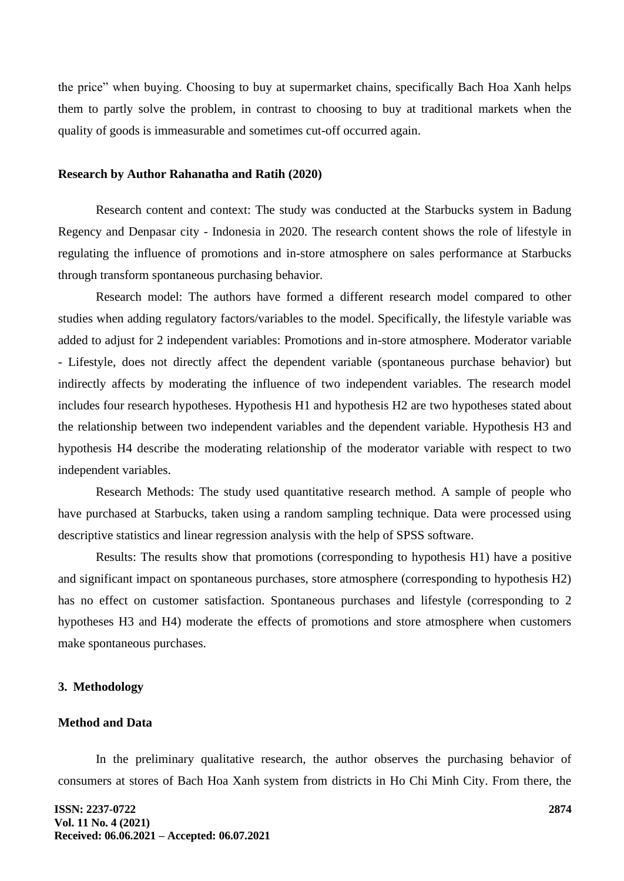the price" when buying. Choosing to buy at supermarket chains, specifically Bach Hoa Xanh helps them to partly solve the problem, in contrast to choosing to buy at traditional markets when the quality of goods is immeasurable and sometimes cut-off occurred again.

#### **Research by Author Rahanatha and Ratih (2020)**

Research content and context: The study was conducted at the Starbucks system in Badung Regency and Denpasar city - Indonesia in 2020. The research content shows the role of lifestyle in regulating the influence of promotions and in-store atmosphere on sales performance at Starbucks through transform spontaneous purchasing behavior.

Research model: The authors have formed a different research model compared to other studies when adding regulatory factors/variables to the model. Specifically, the lifestyle variable was added to adjust for 2 independent variables: Promotions and in-store atmosphere. Moderator variable - Lifestyle, does not directly affect the dependent variable (spontaneous purchase behavior) but indirectly affects by moderating the influence of two independent variables. The research model includes four research hypotheses. Hypothesis H1 and hypothesis H2 are two hypotheses stated about the relationship between two independent variables and the dependent variable. Hypothesis H3 and hypothesis H4 describe the moderating relationship of the moderator variable with respect to two independent variables.

Research Methods: The study used quantitative research method. A sample of people who have purchased at Starbucks, taken using a random sampling technique. Data were processed using descriptive statistics and linear regression analysis with the help of SPSS software.

Results: The results show that promotions (corresponding to hypothesis H1) have a positive and significant impact on spontaneous purchases, store atmosphere (corresponding to hypothesis H2) has no effect on customer satisfaction. Spontaneous purchases and lifestyle (corresponding to 2 hypotheses H3 and H4) moderate the effects of promotions and store atmosphere when customers make spontaneous purchases.

#### **3. Methodology**

### **Method and Data**

In the preliminary qualitative research, the author observes the purchasing behavior of consumers at stores of Bach Hoa Xanh system from districts in Ho Chi Minh City. From there, the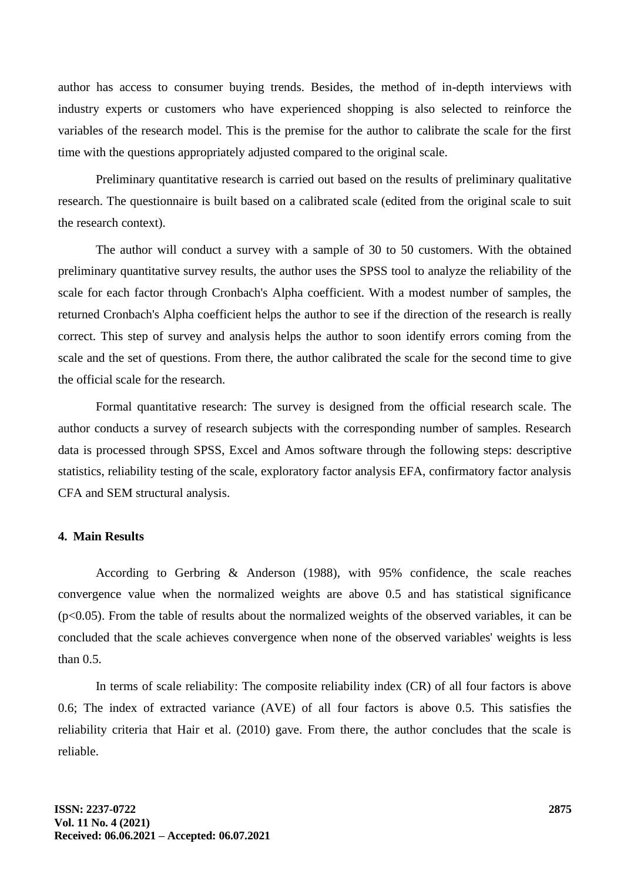author has access to consumer buying trends. Besides, the method of in-depth interviews with industry experts or customers who have experienced shopping is also selected to reinforce the variables of the research model. This is the premise for the author to calibrate the scale for the first time with the questions appropriately adjusted compared to the original scale.

Preliminary quantitative research is carried out based on the results of preliminary qualitative research. The questionnaire is built based on a calibrated scale (edited from the original scale to suit the research context).

The author will conduct a survey with a sample of 30 to 50 customers. With the obtained preliminary quantitative survey results, the author uses the SPSS tool to analyze the reliability of the scale for each factor through Cronbach's Alpha coefficient. With a modest number of samples, the returned Cronbach's Alpha coefficient helps the author to see if the direction of the research is really correct. This step of survey and analysis helps the author to soon identify errors coming from the scale and the set of questions. From there, the author calibrated the scale for the second time to give the official scale for the research.

Formal quantitative research: The survey is designed from the official research scale. The author conducts a survey of research subjects with the corresponding number of samples. Research data is processed through SPSS, Excel and Amos software through the following steps: descriptive statistics, reliability testing of the scale, exploratory factor analysis EFA, confirmatory factor analysis CFA and SEM structural analysis.

# **4. Main Results**

According to Gerbring & Anderson (1988), with 95% confidence, the scale reaches convergence value when the normalized weights are above 0.5 and has statistical significance  $(p<0.05)$ . From the table of results about the normalized weights of the observed variables, it can be concluded that the scale achieves convergence when none of the observed variables' weights is less than 0.5.

In terms of scale reliability: The composite reliability index (CR) of all four factors is above 0.6; The index of extracted variance (AVE) of all four factors is above 0.5. This satisfies the reliability criteria that Hair et al. (2010) gave. From there, the author concludes that the scale is reliable.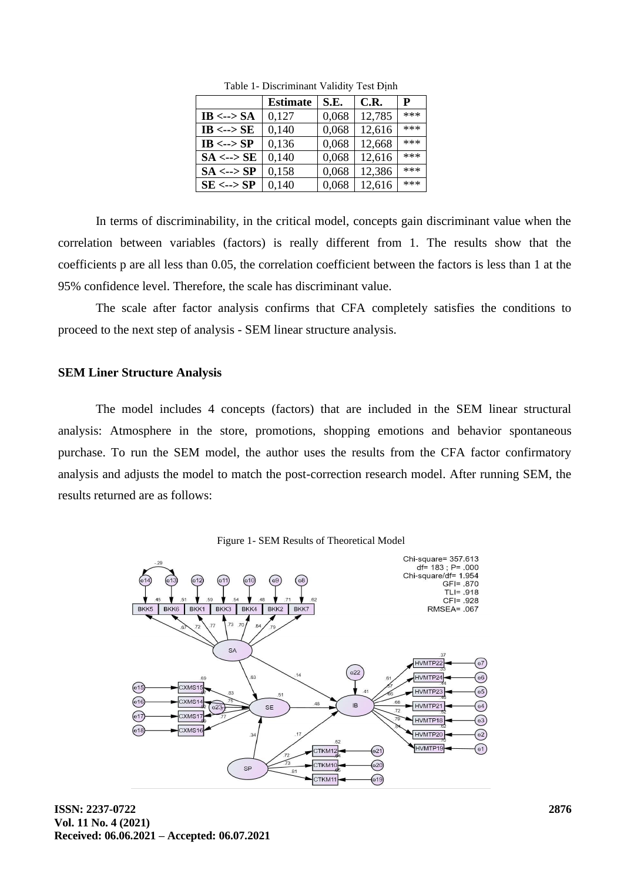|                           | <b>Estimate</b> | S.E.  | C.R.   | P   |
|---------------------------|-----------------|-------|--------|-----|
| IB <--> $SA$              | 0,127           | 0,068 | 12,785 | *** |
| IB $\leftarrow$ > SE      | 0,140           | 0,068 | 12,616 | *** |
| $IB \leftarrow \neg$ > SP | 0,136           | 0,068 | 12,668 | *** |
| $SA \leftarrow > SE$      | 0,140           | 0,068 | 12,616 | *** |
| $SA \leftarrow > SP$      | 0,158           | 0,068 | 12,386 | *** |
| $SE \leftarrow > SP$      | 0,140           | 0,068 | 12,616 | *** |

Table 1- Discriminant Validity Test Định

In terms of discriminability, in the critical model, concepts gain discriminant value when the correlation between variables (factors) is really different from 1. The results show that the coefficients p are all less than 0.05, the correlation coefficient between the factors is less than 1 at the 95% confidence level. Therefore, the scale has discriminant value.

The scale after factor analysis confirms that CFA completely satisfies the conditions to proceed to the next step of analysis - SEM linear structure analysis.

#### **SEM Liner Structure Analysis**

The model includes 4 concepts (factors) that are included in the SEM linear structural analysis: Atmosphere in the store, promotions, shopping emotions and behavior spontaneous purchase. To run the SEM model, the author uses the results from the CFA factor confirmatory analysis and adjusts the model to match the post-correction research model. After running SEM, the results returned are as follows:



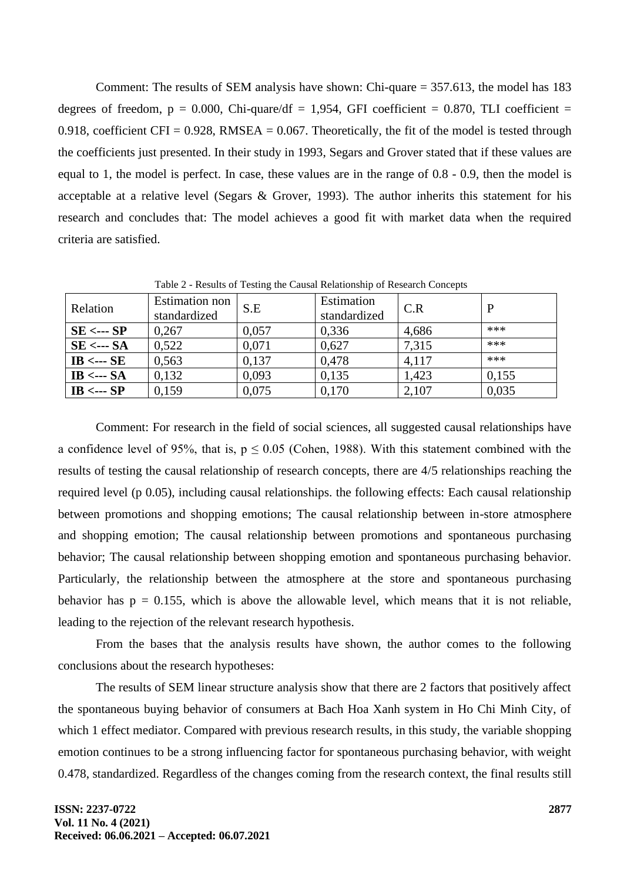Comment: The results of SEM analysis have shown: Chi-quare = 357.613, the model has 183 degrees of freedom,  $p = 0.000$ , Chi-quare/df = 1,954, GFI coefficient = 0.870, TLI coefficient = 0.918, coefficient CFI = 0.928, RMSEA = 0.067. Theoretically, the fit of the model is tested through the coefficients just presented. In their study in 1993, Segars and Grover stated that if these values are equal to 1, the model is perfect. In case, these values are in the range of 0.8 - 0.9, then the model is acceptable at a relative level (Segars & Grover, 1993). The author inherits this statement for his research and concludes that: The model achieves a good fit with market data when the required criteria are satisfied.

| Relation                 | <b>Estimation</b> non<br>standardized | S.E   | Estimation<br>standardized | C.R   |       |
|--------------------------|---------------------------------------|-------|----------------------------|-------|-------|
| $SE \leftarrow SP$       | 0,267                                 | 0,057 | 0,336                      | 4,686 | ***   |
| $SE \leftarrow$ --- $SA$ | 0,522                                 | 0.071 | 0,627                      | 7,315 | ***   |
| IB $\leftarrow$ SE       | 0,563                                 | 0.137 | 0.478                      | 4,117 | ***   |
| IB $\leftarrow$ SA       | 0,132                                 | 0,093 | 0,135                      | 1,423 | 0,155 |
| IB $\leftarrow$ SP       | 0.159                                 | 0,075 | 0,170                      | 2,107 | 0,035 |

Table 2 - Results of Testing the Causal Relationship of Research Concepts

Comment: For research in the field of social sciences, all suggested causal relationships have a confidence level of 95%, that is,  $p \le 0.05$  (Cohen, 1988). With this statement combined with the results of testing the causal relationship of research concepts, there are 4/5 relationships reaching the required level (p 0.05), including causal relationships. the following effects: Each causal relationship between promotions and shopping emotions; The causal relationship between in-store atmosphere and shopping emotion; The causal relationship between promotions and spontaneous purchasing behavior; The causal relationship between shopping emotion and spontaneous purchasing behavior. Particularly, the relationship between the atmosphere at the store and spontaneous purchasing behavior has  $p = 0.155$ , which is above the allowable level, which means that it is not reliable, leading to the rejection of the relevant research hypothesis.

From the bases that the analysis results have shown, the author comes to the following conclusions about the research hypotheses:

The results of SEM linear structure analysis show that there are 2 factors that positively affect the spontaneous buying behavior of consumers at Bach Hoa Xanh system in Ho Chi Minh City, of which 1 effect mediator. Compared with previous research results, in this study, the variable shopping emotion continues to be a strong influencing factor for spontaneous purchasing behavior, with weight 0.478, standardized. Regardless of the changes coming from the research context, the final results still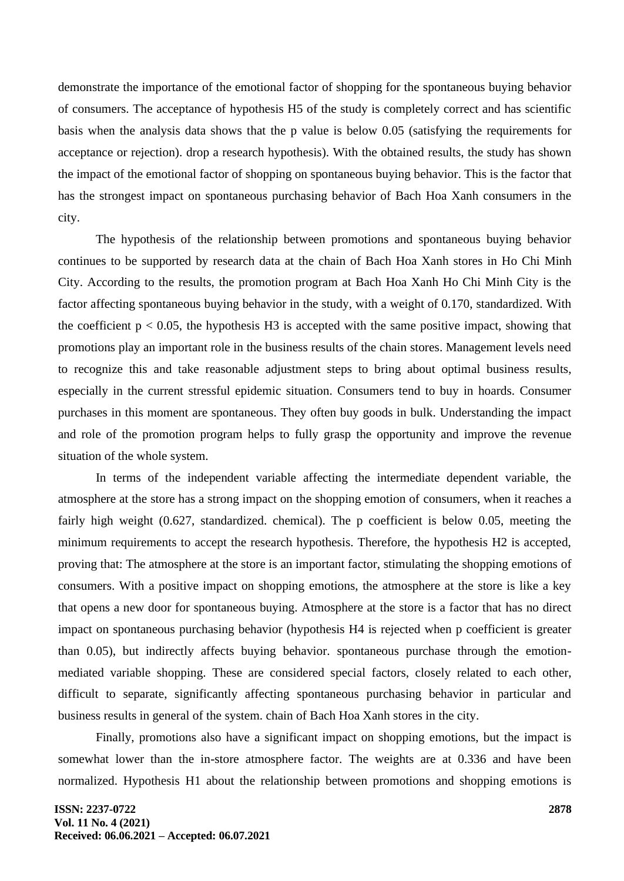demonstrate the importance of the emotional factor of shopping for the spontaneous buying behavior of consumers. The acceptance of hypothesis H5 of the study is completely correct and has scientific basis when the analysis data shows that the p value is below 0.05 (satisfying the requirements for acceptance or rejection). drop a research hypothesis). With the obtained results, the study has shown the impact of the emotional factor of shopping on spontaneous buying behavior. This is the factor that has the strongest impact on spontaneous purchasing behavior of Bach Hoa Xanh consumers in the city.

The hypothesis of the relationship between promotions and spontaneous buying behavior continues to be supported by research data at the chain of Bach Hoa Xanh stores in Ho Chi Minh City. According to the results, the promotion program at Bach Hoa Xanh Ho Chi Minh City is the factor affecting spontaneous buying behavior in the study, with a weight of 0.170, standardized. With the coefficient  $p < 0.05$ , the hypothesis H3 is accepted with the same positive impact, showing that promotions play an important role in the business results of the chain stores. Management levels need to recognize this and take reasonable adjustment steps to bring about optimal business results, especially in the current stressful epidemic situation. Consumers tend to buy in hoards. Consumer purchases in this moment are spontaneous. They often buy goods in bulk. Understanding the impact and role of the promotion program helps to fully grasp the opportunity and improve the revenue situation of the whole system.

In terms of the independent variable affecting the intermediate dependent variable, the atmosphere at the store has a strong impact on the shopping emotion of consumers, when it reaches a fairly high weight (0.627, standardized. chemical). The p coefficient is below 0.05, meeting the minimum requirements to accept the research hypothesis. Therefore, the hypothesis H2 is accepted, proving that: The atmosphere at the store is an important factor, stimulating the shopping emotions of consumers. With a positive impact on shopping emotions, the atmosphere at the store is like a key that opens a new door for spontaneous buying. Atmosphere at the store is a factor that has no direct impact on spontaneous purchasing behavior (hypothesis H4 is rejected when p coefficient is greater than 0.05), but indirectly affects buying behavior. spontaneous purchase through the emotionmediated variable shopping. These are considered special factors, closely related to each other, difficult to separate, significantly affecting spontaneous purchasing behavior in particular and business results in general of the system. chain of Bach Hoa Xanh stores in the city.

Finally, promotions also have a significant impact on shopping emotions, but the impact is somewhat lower than the in-store atmosphere factor. The weights are at 0.336 and have been normalized. Hypothesis H1 about the relationship between promotions and shopping emotions is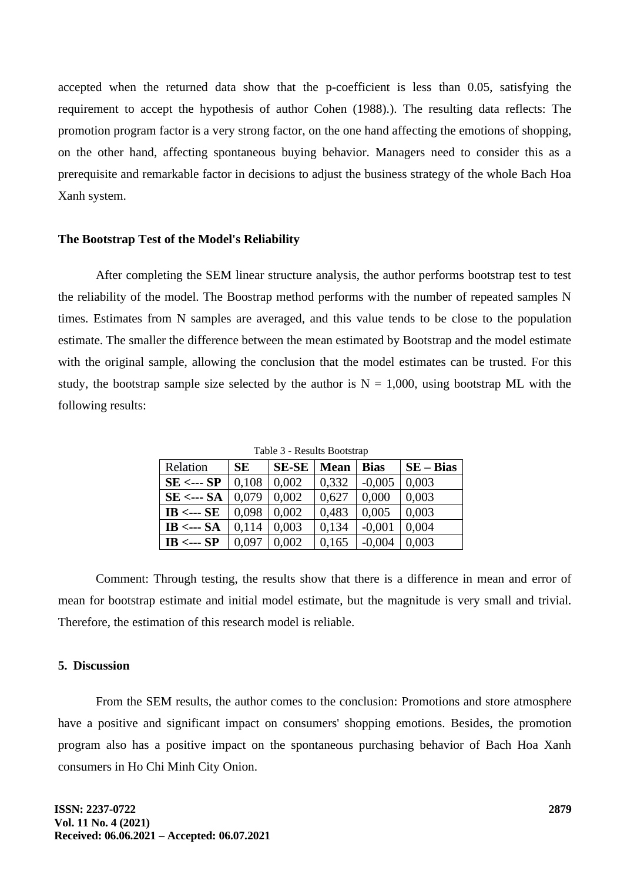accepted when the returned data show that the p-coefficient is less than 0.05, satisfying the requirement to accept the hypothesis of author Cohen (1988).). The resulting data reflects: The promotion program factor is a very strong factor, on the one hand affecting the emotions of shopping, on the other hand, affecting spontaneous buying behavior. Managers need to consider this as a prerequisite and remarkable factor in decisions to adjust the business strategy of the whole Bach Hoa Xanh system.

#### **The Bootstrap Test of the Model's Reliability**

After completing the SEM linear structure analysis, the author performs bootstrap test to test the reliability of the model. The Boostrap method performs with the number of repeated samples N times. Estimates from N samples are averaged, and this value tends to be close to the population estimate. The smaller the difference between the mean estimated by Bootstrap and the model estimate with the original sample, allowing the conclusion that the model estimates can be trusted. For this study, the bootstrap sample size selected by the author is  $N = 1,000$ , using bootstrap ML with the following results:

| Relation                 | <b>SE</b> | <b>SE-SE</b> | <b>Mean</b> | <b>Bias</b> | $SE - Bias$ |  |  |
|--------------------------|-----------|--------------|-------------|-------------|-------------|--|--|
| $SE \leftarrow SP$       | 0,108     | 0,002        | 0,332       | $-0,005$    | 0,003       |  |  |
| $SE \leftarrow$ --- $SA$ | 0,079     | 0.002        | 0,627       | 0.000       | 0,003       |  |  |
| $IB \leftarrow SE$       | 0.098     | 0,002        | 0,483       | 0,005       | 0,003       |  |  |
| IB $\leftarrow$ SA       | 0,114     | 0,003        | 0,134       | $-0,001$    | 0,004       |  |  |
| $IB \leftarrow SP$       | 0,097     | 0,002        | 0,165       | $-0,004$    | 0,003       |  |  |

Table 3 - Results Bootstrap

Comment: Through testing, the results show that there is a difference in mean and error of mean for bootstrap estimate and initial model estimate, but the magnitude is very small and trivial. Therefore, the estimation of this research model is reliable.

#### **5. Discussion**

From the SEM results, the author comes to the conclusion: Promotions and store atmosphere have a positive and significant impact on consumers' shopping emotions. Besides, the promotion program also has a positive impact on the spontaneous purchasing behavior of Bach Hoa Xanh consumers in Ho Chi Minh City Onion.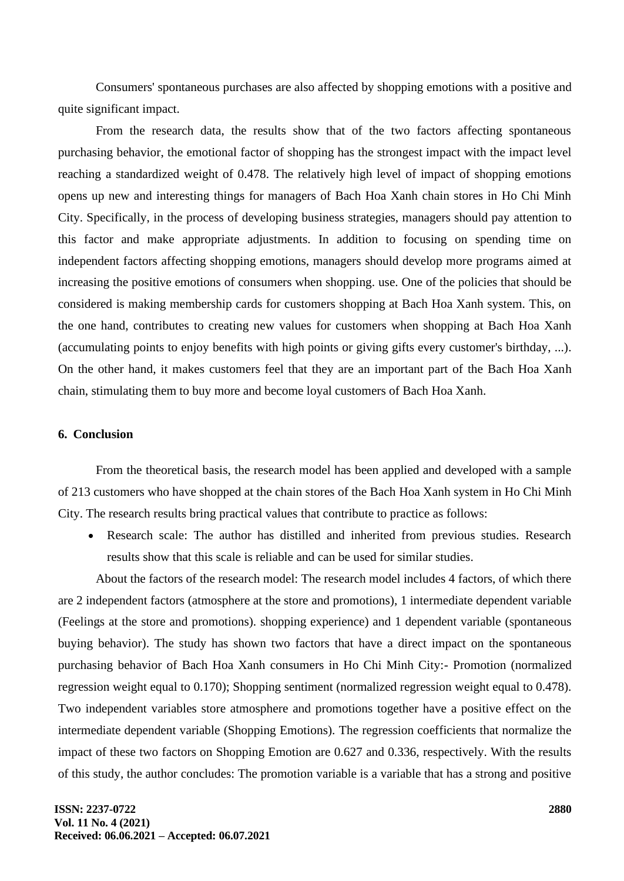Consumers' spontaneous purchases are also affected by shopping emotions with a positive and quite significant impact.

From the research data, the results show that of the two factors affecting spontaneous purchasing behavior, the emotional factor of shopping has the strongest impact with the impact level reaching a standardized weight of 0.478. The relatively high level of impact of shopping emotions opens up new and interesting things for managers of Bach Hoa Xanh chain stores in Ho Chi Minh City. Specifically, in the process of developing business strategies, managers should pay attention to this factor and make appropriate adjustments. In addition to focusing on spending time on independent factors affecting shopping emotions, managers should develop more programs aimed at increasing the positive emotions of consumers when shopping. use. One of the policies that should be considered is making membership cards for customers shopping at Bach Hoa Xanh system. This, on the one hand, contributes to creating new values for customers when shopping at Bach Hoa Xanh (accumulating points to enjoy benefits with high points or giving gifts every customer's birthday, ...). On the other hand, it makes customers feel that they are an important part of the Bach Hoa Xanh chain, stimulating them to buy more and become loyal customers of Bach Hoa Xanh.

# **6. Conclusion**

From the theoretical basis, the research model has been applied and developed with a sample of 213 customers who have shopped at the chain stores of the Bach Hoa Xanh system in Ho Chi Minh City. The research results bring practical values that contribute to practice as follows:

• Research scale: The author has distilled and inherited from previous studies. Research results show that this scale is reliable and can be used for similar studies.

About the factors of the research model: The research model includes 4 factors, of which there are 2 independent factors (atmosphere at the store and promotions), 1 intermediate dependent variable (Feelings at the store and promotions). shopping experience) and 1 dependent variable (spontaneous buying behavior). The study has shown two factors that have a direct impact on the spontaneous purchasing behavior of Bach Hoa Xanh consumers in Ho Chi Minh City:- Promotion (normalized regression weight equal to 0.170); Shopping sentiment (normalized regression weight equal to 0.478). Two independent variables store atmosphere and promotions together have a positive effect on the intermediate dependent variable (Shopping Emotions). The regression coefficients that normalize the impact of these two factors on Shopping Emotion are 0.627 and 0.336, respectively. With the results of this study, the author concludes: The promotion variable is a variable that has a strong and positive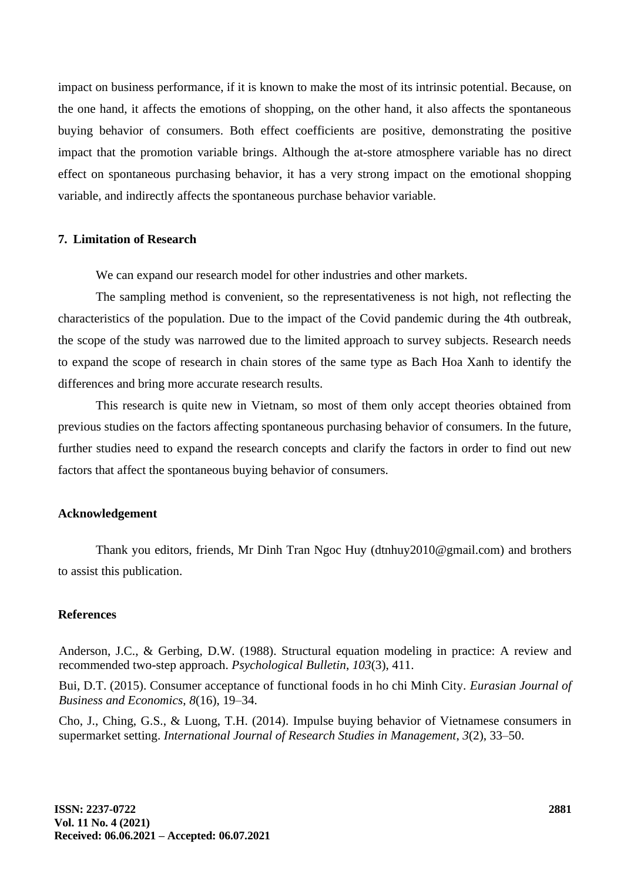impact on business performance, if it is known to make the most of its intrinsic potential. Because, on the one hand, it affects the emotions of shopping, on the other hand, it also affects the spontaneous buying behavior of consumers. Both effect coefficients are positive, demonstrating the positive impact that the promotion variable brings. Although the at-store atmosphere variable has no direct effect on spontaneous purchasing behavior, it has a very strong impact on the emotional shopping variable, and indirectly affects the spontaneous purchase behavior variable.

# **7. Limitation of Research**

We can expand our research model for other industries and other markets.

The sampling method is convenient, so the representativeness is not high, not reflecting the characteristics of the population. Due to the impact of the Covid pandemic during the 4th outbreak, the scope of the study was narrowed due to the limited approach to survey subjects. Research needs to expand the scope of research in chain stores of the same type as Bach Hoa Xanh to identify the differences and bring more accurate research results.

This research is quite new in Vietnam, so most of them only accept theories obtained from previous studies on the factors affecting spontaneous purchasing behavior of consumers. In the future, further studies need to expand the research concepts and clarify the factors in order to find out new factors that affect the spontaneous buying behavior of consumers.

### **Acknowledgement**

Thank you editors, friends, Mr Dinh Tran Ngoc Huy (dtnhuy2010@gmail.com) and brothers to assist this publication.

# **References**

Anderson, J.C., & Gerbing, D.W. (1988). Structural equation modeling in practice: A review and recommended two-step approach. *Psychological Bulletin*, *103*(3), 411.

Bui, D.T. (2015). Consumer acceptance of functional foods in ho chi Minh City. *Eurasian Journal of Business and Economics*, *8*(16), 19–34.

Cho, J., Ching, G.S., & Luong, T.H. (2014). Impulse buying behavior of Vietnamese consumers in supermarket setting. *International Journal of Research Studies in Management*, *3*(2), 33–50.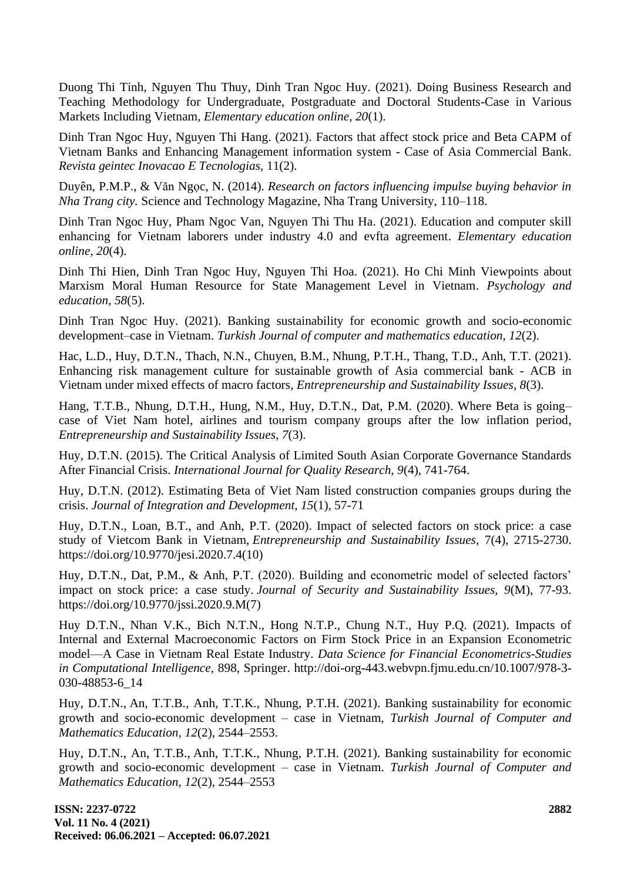Duong Thi Tinh, Nguyen Thu Thuy, Dinh Tran Ngoc Huy. (2021). Doing Business Research and Teaching Methodology for Undergraduate, Postgraduate and Doctoral Students-Case in Various Markets Including Vietnam, *Elementary education online, 20*(1).

Dinh Tran Ngoc Huy, Nguyen Thi Hang. (2021). Factors that affect stock price and Beta CAPM of Vietnam Banks and Enhancing Management information system - Case of Asia Commercial Bank. *Revista geintec Inovacao E Tecnologias,* 11(2).

Duyên, P.M.P., & Văn Ngọc, N. (2014). *Research on factors influencing impulse buying behavior in Nha Trang city.* Science and Technology Magazine, Nha Trang University, 110–118.

Dinh Tran Ngoc Huy, Pham Ngoc Van, Nguyen Thi Thu Ha. (2021). Education and computer skill enhancing for Vietnam laborers under industry 4.0 and evfta agreement. *Elementary education online, 20*(4).

Dinh Thi Hien, Dinh Tran Ngoc Huy, Nguyen Thi Hoa. (2021). Ho Chi Minh Viewpoints about Marxism Moral Human Resource for State Management Level in Vietnam. *Psychology and education, 58*(5).

Dinh Tran Ngoc Huy. (2021). Banking sustainability for economic growth and socio-economic development–case in Vietnam. *Turkish Journal of computer and mathematics education, 12*(2).

Hac, L.D., Huy, D.T.N., Thach, N.N., Chuyen, B.M., Nhung, P.T.H., Thang, T.D., Anh, T.T. (2021). Enhancing risk management culture for sustainable growth of Asia commercial bank - ACB in Vietnam under mixed effects of macro factors, *Entrepreneurship and Sustainability Issues, 8*(3).

Hang, T.T.B., Nhung, D.T.H., Hung, N.M., Huy, D.T.N., Dat, P.M. (2020). Where Beta is going– case of Viet Nam hotel, airlines and tourism company groups after the low inflation period, *Entrepreneurship and Sustainability Issues, 7*(3).

Huy, D.T.N. (2015). The Critical Analysis of Limited South Asian Corporate Governance Standards After Financial Crisis. *International Journal for Quality Research, 9*(4), 741-764.

Huy, D.T.N. (2012). Estimating Beta of Viet Nam listed construction companies groups during the crisis. *Journal of Integration and Development, 15*(1), 57-71

Huy, D.T.N., Loan, B.T., and Anh, P.T. (2020). Impact of selected factors on stock price: a case study of Vietcom Bank in Vietnam, *Entrepreneurship and Sustainability Issues,* 7(4), 2715-2730. https://doi.org/10.9770/jesi.2020.7.4(10)

Huy, D.T.N., Dat, P.M., & Anh, P.T. (2020). Building and econometric model of selected factors' impact on stock price: a case study. *Journal of Security and Sustainability Issues, 9*(M), 77-93. https://doi.org/10.9770/jssi.2020.9.M(7)

Huy D.T.N., Nhan V.K., Bich N.T.N., Hong N.T.P., Chung N.T., Huy P.Q. (2021). Impacts of Internal and External Macroeconomic Factors on Firm Stock Price in an Expansion Econometric model—A Case in Vietnam Real Estate Industry. *Data Science for Financial Econometrics-Studies in Computational Intelligence,* 898, Springer. http://doi-org-443.webvpn.fjmu.edu.cn/10.1007/978-3- 030-48853-6\_14

Huy, D.T.N., An, T.T.B., Anh, T.T.K., Nhung, P.T.H. (2021). Banking sustainability for economic growth and socio-economic development – case in Vietnam, *Turkish Journal of Computer and Mathematics Education, 12*(2), 2544–2553.

Huy, D.T.N., An, T.T.B., Anh, T.T.K., Nhung, P.T.H. (2021). Banking sustainability for economic growth and socio-economic development – case in Vietnam. *Turkish Journal of Computer and Mathematics Education, 12*(2), 2544–2553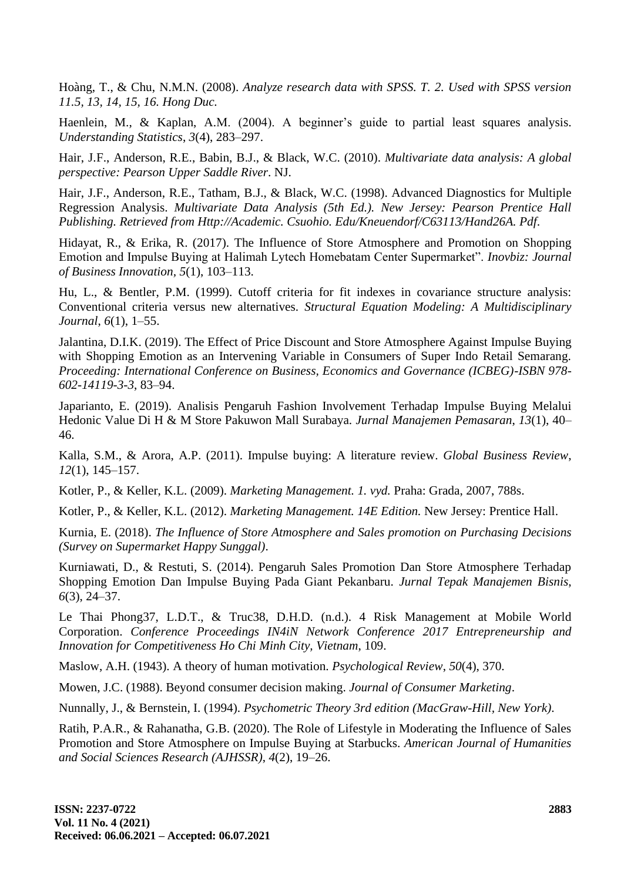Hoàng, T., & Chu, N.M.N. (2008). *Analyze research data with SPSS. T. 2. Used with SPSS version 11.5, 13, 14, 15, 16. Hong Duc.*

Haenlein, M., & Kaplan, A.M. (2004). A beginner's guide to partial least squares analysis. *Understanding Statistics*, *3*(4), 283–297.

Hair, J.F., Anderson, R.E., Babin, B.J., & Black, W.C. (2010). *Multivariate data analysis: A global perspective: Pearson Upper Saddle River*. NJ.

Hair, J.F., Anderson, R.E., Tatham, B.J., & Black, W.C. (1998). Advanced Diagnostics for Multiple Regression Analysis. *Multivariate Data Analysis (5th Ed.). New Jersey: Pearson Prentice Hall Publishing. Retrieved from Http://Academic. Csuohio. Edu/Kneuendorf/C63113/Hand26A. Pdf*.

Hidayat, R., & Erika, R. (2017). The Influence of Store Atmosphere and Promotion on Shopping Emotion and Impulse Buying at Halimah Lytech Homebatam Center Supermarket". *Inovbiz: Journal of Business Innovation, 5*(1), 103–113.

Hu, L., & Bentler, P.M. (1999). Cutoff criteria for fit indexes in covariance structure analysis: Conventional criteria versus new alternatives. *Structural Equation Modeling: A Multidisciplinary Journal*, *6*(1), 1–55.

Jalantina, D.I.K. (2019). The Effect of Price Discount and Store Atmosphere Against Impulse Buying with Shopping Emotion as an Intervening Variable in Consumers of Super Indo Retail Semarang. *Proceeding: International Conference on Business, Economics and Governance (ICBEG)-ISBN 978- 602-14119-3-3*, 83–94.

Japarianto, E. (2019). Analisis Pengaruh Fashion Involvement Terhadap Impulse Buying Melalui Hedonic Value Di H & M Store Pakuwon Mall Surabaya. *Jurnal Manajemen Pemasaran*, *13*(1), 40– 46.

Kalla, S.M., & Arora, A.P. (2011). Impulse buying: A literature review. *Global Business Review*, *12*(1), 145–157.

Kotler, P., & Keller, K.L. (2009). *Marketing Management. 1. vyd.* Praha: Grada, 2007, 788s.

Kotler, P., & Keller, K.L. (2012). *Marketing Management. 14E Edition.* New Jersey: Prentice Hall.

Kurnia, E. (2018). *The Influence of Store Atmosphere and Sales promotion on Purchasing Decisions (Survey on Supermarket Happy Sunggal)*.

Kurniawati, D., & Restuti, S. (2014). Pengaruh Sales Promotion Dan Store Atmosphere Terhadap Shopping Emotion Dan Impulse Buying Pada Giant Pekanbaru. *Jurnal Tepak Manajemen Bisnis*, *6*(3), 24–37.

Le Thai Phong37, L.D.T., & Truc38, D.H.D. (n.d.). 4 Risk Management at Mobile World Corporation. *Conference Proceedings IN4iN Network Conference 2017 Entrepreneurship and Innovation for Competitiveness Ho Chi Minh City, Vietnam*, 109.

Maslow, A.H. (1943). A theory of human motivation. *Psychological Review*, *50*(4), 370.

Mowen, J.C. (1988). Beyond consumer decision making. *Journal of Consumer Marketing*.

Nunnally, J., & Bernstein, I. (1994). *Psychometric Theory 3rd edition (MacGraw-Hill, New York)*.

Ratih, P.A.R., & Rahanatha, G.B. (2020). The Role of Lifestyle in Moderating the Influence of Sales Promotion and Store Atmosphere on Impulse Buying at Starbucks. *American Journal of Humanities and Social Sciences Research (AJHSSR)*, *4*(2), 19–26.